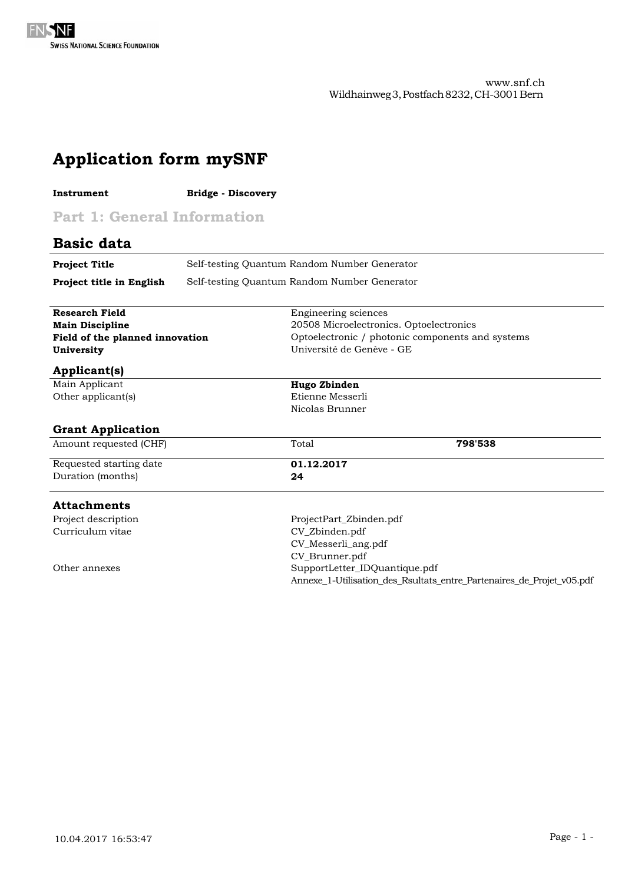| <b>Application form mySNF</b>      |                           |                                                                       |  |  |  |
|------------------------------------|---------------------------|-----------------------------------------------------------------------|--|--|--|
| Instrument                         | <b>Bridge - Discovery</b> |                                                                       |  |  |  |
| <b>Part 1: General Information</b> |                           |                                                                       |  |  |  |
| <b>Basic data</b>                  |                           |                                                                       |  |  |  |
| <b>Project Title</b>               |                           | Self-testing Quantum Random Number Generator                          |  |  |  |
| Project title in English           |                           | Self-testing Quantum Random Number Generator                          |  |  |  |
| <b>Research Field</b>              |                           | Engineering sciences                                                  |  |  |  |
| <b>Main Discipline</b>             |                           | 20508 Microelectronics. Optoelectronics                               |  |  |  |
| Field of the planned innovation    |                           | Optoelectronic / photonic components and systems                      |  |  |  |
| University                         |                           | Université de Genève - GE                                             |  |  |  |
| <b>Applicant(s)</b>                |                           |                                                                       |  |  |  |
| Main Applicant                     |                           | Hugo Zbinden                                                          |  |  |  |
| Other applicant(s)                 |                           | Etienne Messerli                                                      |  |  |  |
|                                    |                           | Nicolas Brunner                                                       |  |  |  |
| <b>Grant Application</b>           |                           |                                                                       |  |  |  |
| Amount requested (CHF)             |                           | Total<br>798'538                                                      |  |  |  |
| Requested starting date            |                           | 01.12.2017                                                            |  |  |  |
| Duration (months)                  |                           | 24                                                                    |  |  |  |
| <b>Attachments</b>                 |                           |                                                                       |  |  |  |
| Project description                |                           | ProjectPart_Zbinden.pdf                                               |  |  |  |
| Curriculum vitae                   |                           | CV_Zbinden.pdf                                                        |  |  |  |
|                                    |                           | CV_Messerli_ang.pdf                                                   |  |  |  |
|                                    |                           | CV_Brunner.pdf                                                        |  |  |  |
| Other annexes                      |                           | SupportLetter_IDQuantique.pdf                                         |  |  |  |
|                                    |                           | Annexe_1-Utilisation_des_Rsultats_entre_Partenaires_de_Projet_v05.pdf |  |  |  |
|                                    |                           |                                                                       |  |  |  |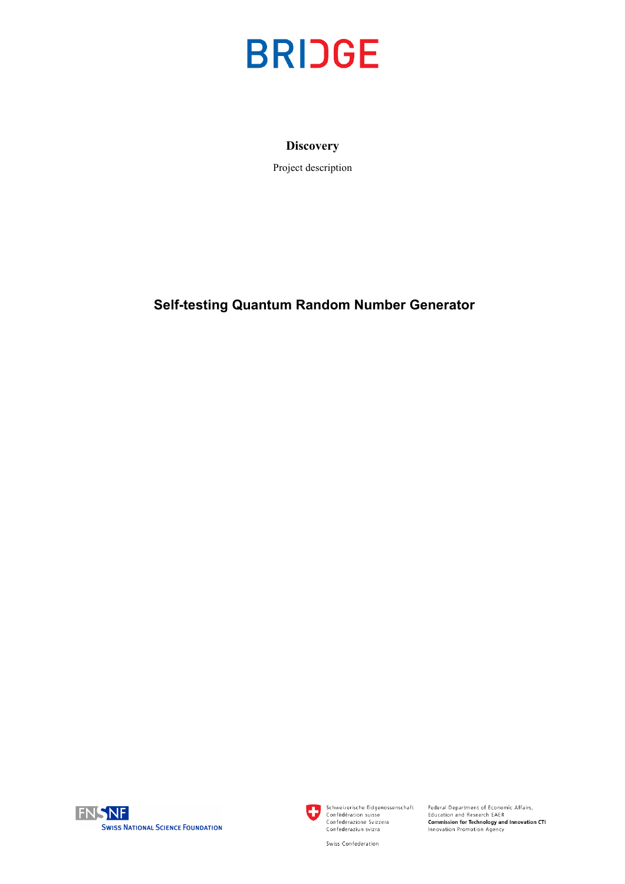

## **Discovery**

Project description

# **Self-testing Quantum Random Number Generator**





Schweizerische Eidgenossenschaft<br>Confédération suisse<br>Confederazione Svizzera<br>Confederaziun svizra

Federal Department of Economic Affairs,<br>Education and Research EAER<br>**Commission for Technology and Innovation CTI**<br>Innovation Promotion Agency

Swiss Confederation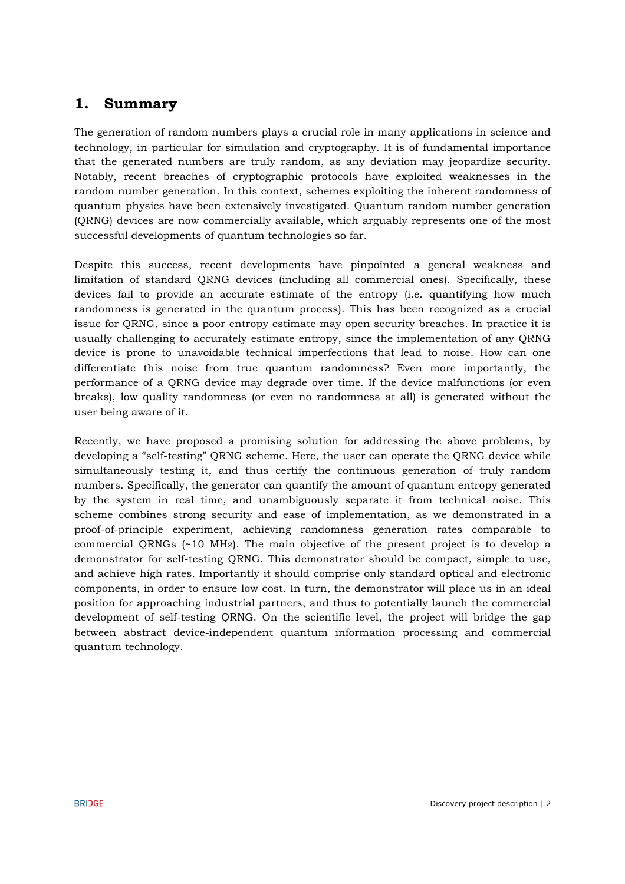# **1. Summary**

The generation of random numbers plays a crucial role in many applications in science and technology, in particular for simulation and cryptography. It is of fundamental importance that the generated numbers are truly random, as any deviation may jeopardize security. Notably, recent breaches of cryptographic protocols have exploited weaknesses in the random number generation. In this context, schemes exploiting the inherent randomness of quantum physics have been extensively investigated. Quantum random number generation (QRNG) devices are now commercially available, which arguably represents one of the most successful developments of quantum technologies so far.

Despite this success, recent developments have pinpointed a general weakness and limitation of standard QRNG devices (including all commercial ones). Specifically, these devices fail to provide an accurate estimate of the entropy (i.e. quantifying how much randomness is generated in the quantum process). This has been recognized as a crucial issue for QRNG, since a poor entropy estimate may open security breaches. In practice it is usually challenging to accurately estimate entropy, since the implementation of any QRNG device is prone to unavoidable technical imperfections that lead to noise. How can one differentiate this noise from true quantum randomness? Even more importantly, the performance of a QRNG device may degrade over time. If the device malfunctions (or even breaks), low quality randomness (or even no randomness at all) is generated without the user being aware of it.

Recently, we have proposed a promising solution for addressing the above problems, by developing a "self-testing" QRNG scheme. Here, the user can operate the QRNG device while simultaneously testing it, and thus certify the continuous generation of truly random numbers. Specifically, the generator can quantify the amount of quantum entropy generated by the system in real time, and unambiguously separate it from technical noise. This scheme combines strong security and ease of implementation, as we demonstrated in a proof-of-principle experiment, achieving randomness generation rates comparable to commercial QRNGs (~10 MHz). The main objective of the present project is to develop a demonstrator for self-testing QRNG. This demonstrator should be compact, simple to use, and achieve high rates. Importantly it should comprise only standard optical and electronic components, in order to ensure low cost. In turn, the demonstrator will place us in an ideal position for approaching industrial partners, and thus to potentially launch the commercial development of self-testing QRNG. On the scientific level, the project will bridge the gap between abstract device-independent quantum information processing and commercial quantum technology.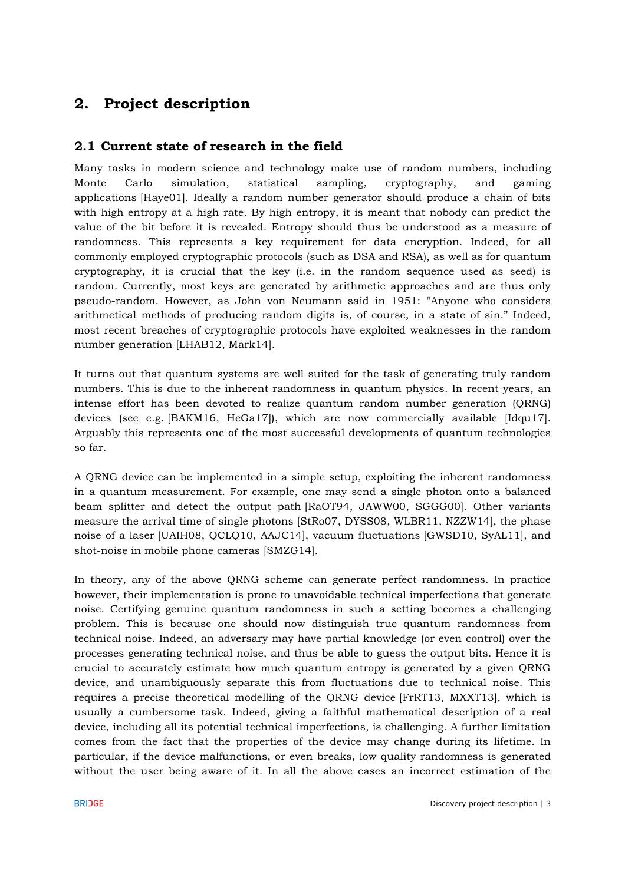# **2. Project description**

# **2.1 Current state of research in the field**

Many tasks in modern science and technology make use of random numbers, including Monte Carlo simulation, statistical sampling, cryptography, and gaming applications [Haye01]. Ideally a random number generator should produce a chain of bits with high entropy at a high rate. By high entropy, it is meant that nobody can predict the value of the bit before it is revealed. Entropy should thus be understood as a measure of randomness. This represents a key requirement for data encryption. Indeed, for all commonly employed cryptographic protocols (such as DSA and RSA), as well as for quantum cryptography, it is crucial that the key (i.e. in the random sequence used as seed) is random. Currently, most keys are generated by arithmetic approaches and are thus only pseudo-random. However, as John von Neumann said in 1951: "Anyone who considers arithmetical methods of producing random digits is, of course, in a state of sin." Indeed, most recent breaches of cryptographic protocols have exploited weaknesses in the random number generation [LHAB12, Mark14].

It turns out that quantum systems are well suited for the task of generating truly random numbers. This is due to the inherent randomness in quantum physics. In recent years, an intense effort has been devoted to realize quantum random number generation (QRNG) devices (see e.g. [BAKM16, HeGa17]), which are now commercially available [Idqu17]. Arguably this represents one of the most successful developments of quantum technologies so far.

A QRNG device can be implemented in a simple setup, exploiting the inherent randomness in a quantum measurement. For example, one may send a single photon onto a balanced beam splitter and detect the output path [RaOT94, JAWW00, SGGG00]. Other variants measure the arrival time of single photons [StRo07, DYSS08, WLBR11, NZZW14], the phase noise of a laser [UAIH08, QCLQ10, AAJC14], vacuum fluctuations [GWSD10, SyAL11], and shot-noise in mobile phone cameras [SMZG14].

In theory, any of the above QRNG scheme can generate perfect randomness. In practice however, their implementation is prone to unavoidable technical imperfections that generate noise. Certifying genuine quantum randomness in such a setting becomes a challenging problem. This is because one should now distinguish true quantum randomness from technical noise. Indeed, an adversary may have partial knowledge (or even control) over the processes generating technical noise, and thus be able to guess the output bits. Hence it is crucial to accurately estimate how much quantum entropy is generated by a given QRNG device, and unambiguously separate this from fluctuations due to technical noise. This requires a precise theoretical modelling of the QRNG device [FrRT13, MXXT13], which is usually a cumbersome task. Indeed, giving a faithful mathematical description of a real device, including all its potential technical imperfections, is challenging. A further limitation comes from the fact that the properties of the device may change during its lifetime. In particular, if the device malfunctions, or even breaks, low quality randomness is generated without the user being aware of it. In all the above cases an incorrect estimation of the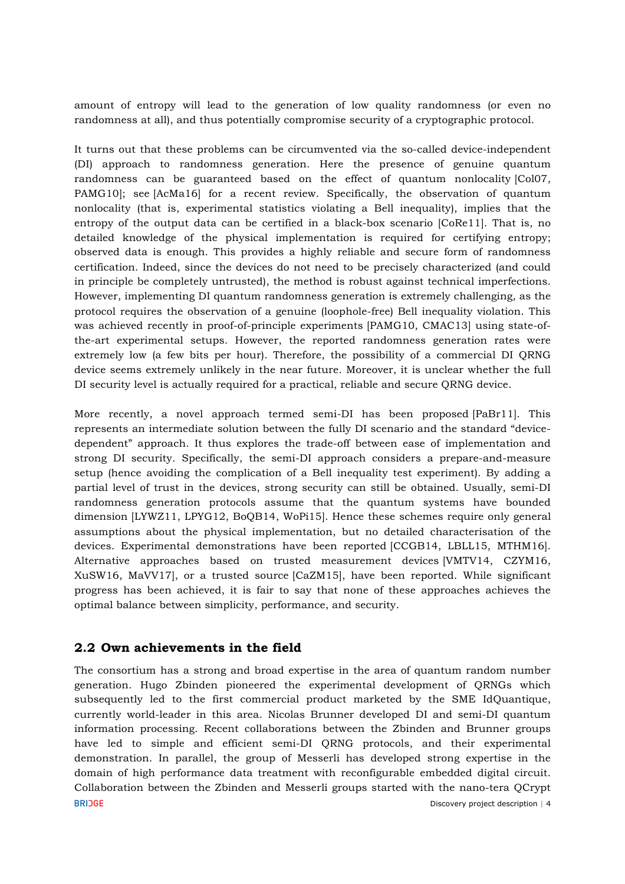amount of entropy will lead to the generation of low quality randomness (or even no randomness at all), and thus potentially compromise security of a cryptographic protocol.

It turns out that these problems can be circumvented via the so-called device-independent (DI) approach to randomness generation. Here the presence of genuine quantum randomness can be guaranteed based on the effect of quantum nonlocality [Col07, PAMG10]; see [AcMa16] for a recent review. Specifically, the observation of quantum nonlocality (that is, experimental statistics violating a Bell inequality), implies that the entropy of the output data can be certified in a black-box scenario [CoRe11]. That is, no detailed knowledge of the physical implementation is required for certifying entropy; observed data is enough. This provides a highly reliable and secure form of randomness certification. Indeed, since the devices do not need to be precisely characterized (and could in principle be completely untrusted), the method is robust against technical imperfections. However, implementing DI quantum randomness generation is extremely challenging, as the protocol requires the observation of a genuine (loophole-free) Bell inequality violation. This was achieved recently in proof-of-principle experiments [PAMG10, CMAC13] using state-ofthe-art experimental setups. However, the reported randomness generation rates were extremely low (a few bits per hour). Therefore, the possibility of a commercial DI QRNG device seems extremely unlikely in the near future. Moreover, it is unclear whether the full DI security level is actually required for a practical, reliable and secure QRNG device.

More recently, a novel approach termed semi-DI has been proposed [PaBr11]. This represents an intermediate solution between the fully DI scenario and the standard "devicedependent" approach. It thus explores the trade-off between ease of implementation and strong DI security. Specifically, the semi-DI approach considers a prepare-and-measure setup (hence avoiding the complication of a Bell inequality test experiment). By adding a partial level of trust in the devices, strong security can still be obtained. Usually, semi-DI randomness generation protocols assume that the quantum systems have bounded dimension [LYWZ11, LPYG12, BoQB14, WoPi15]. Hence these schemes require only general assumptions about the physical implementation, but no detailed characterisation of the devices. Experimental demonstrations have been reported [CCGB14, LBLL15, MTHM16]. Alternative approaches based on trusted measurement devices [VMTV14, CZYM16, XuSW16, MaVV17], or a trusted source [CaZM15], have been reported. While significant progress has been achieved, it is fair to say that none of these approaches achieves the optimal balance between simplicity, performance, and security.

# **2.2 Own achievements in the field**

The consortium has a strong and broad expertise in the area of quantum random number generation. Hugo Zbinden pioneered the experimental development of QRNGs which subsequently led to the first commercial product marketed by the SME IdQuantique, currently world-leader in this area. Nicolas Brunner developed DI and semi-DI quantum information processing. Recent collaborations between the Zbinden and Brunner groups have led to simple and efficient semi-DI QRNG protocols, and their experimental demonstration. In parallel, the group of Messerli has developed strong expertise in the domain of high performance data treatment with reconfigurable embedded digital circuit. Collaboration between the Zbinden and Messerli groups started with the nano-tera QCrypt **BRIDGE** Discovery project description | 4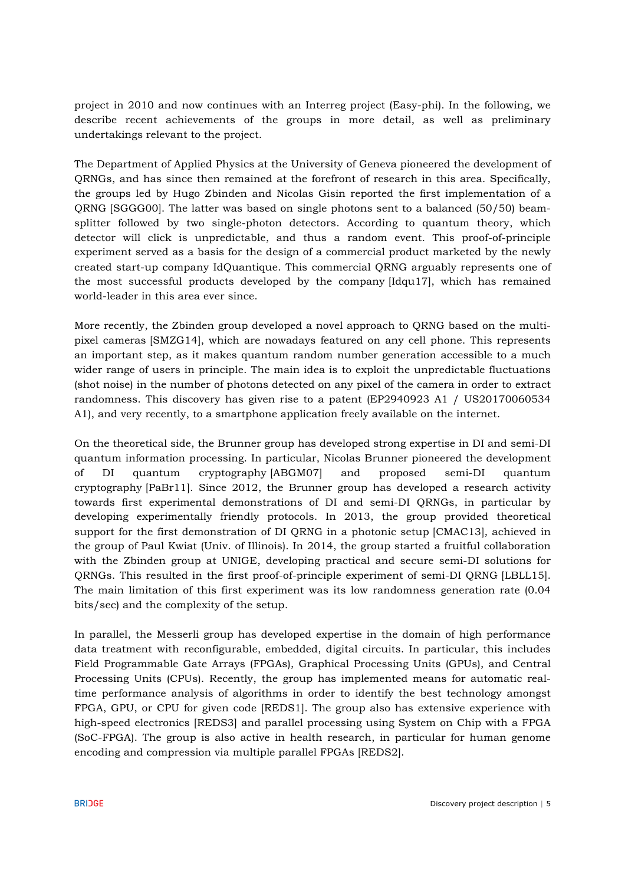project in 2010 and now continues with an Interreg project (Easy-phi). In the following, we describe recent achievements of the groups in more detail, as well as preliminary undertakings relevant to the project.

The Department of Applied Physics at the University of Geneva pioneered the development of QRNGs, and has since then remained at the forefront of research in this area. Specifically, the groups led by Hugo Zbinden and Nicolas Gisin reported the first implementation of a QRNG [SGGG00]. The latter was based on single photons sent to a balanced (50/50) beamsplitter followed by two single-photon detectors. According to quantum theory, which detector will click is unpredictable, and thus a random event. This proof-of-principle experiment served as a basis for the design of a commercial product marketed by the newly created start-up company IdQuantique. This commercial QRNG arguably represents one of the most successful products developed by the company [Idqu17], which has remained world-leader in this area ever since.

More recently, the Zbinden group developed a novel approach to QRNG based on the multipixel cameras [SMZG14], which are nowadays featured on any cell phone. This represents an important step, as it makes quantum random number generation accessible to a much wider range of users in principle. The main idea is to exploit the unpredictable fluctuations (shot noise) in the number of photons detected on any pixel of the camera in order to extract randomness. This discovery has given rise to a patent (EP2940923 A1 / US20170060534 A1), and very recently, to a smartphone application freely available on the internet.

On the theoretical side, the Brunner group has developed strong expertise in DI and semi-DI quantum information processing. In particular, Nicolas Brunner pioneered the development of DI quantum cryptography [ABGM07] and proposed semi-DI quantum cryptography [PaBr11]. Since 2012, the Brunner group has developed a research activity towards first experimental demonstrations of DI and semi-DI QRNGs, in particular by developing experimentally friendly protocols. In 2013, the group provided theoretical support for the first demonstration of DI QRNG in a photonic setup [CMAC13], achieved in the group of Paul Kwiat (Univ. of Illinois). In 2014, the group started a fruitful collaboration with the Zbinden group at UNIGE, developing practical and secure semi-DI solutions for QRNGs. This resulted in the first proof-of-principle experiment of semi-DI QRNG [LBLL15]. The main limitation of this first experiment was its low randomness generation rate (0.04 bits/sec) and the complexity of the setup.

In parallel, the Messerli group has developed expertise in the domain of high performance data treatment with reconfigurable, embedded, digital circuits. In particular, this includes Field Programmable Gate Arrays (FPGAs), Graphical Processing Units (GPUs), and Central Processing Units (CPUs). Recently, the group has implemented means for automatic realtime performance analysis of algorithms in order to identify the best technology amongst FPGA, GPU, or CPU for given code [REDS1]. The group also has extensive experience with high-speed electronics [REDS3] and parallel processing using System on Chip with a FPGA (SoC-FPGA). The group is also active in health research, in particular for human genome encoding and compression via multiple parallel FPGAs [REDS2].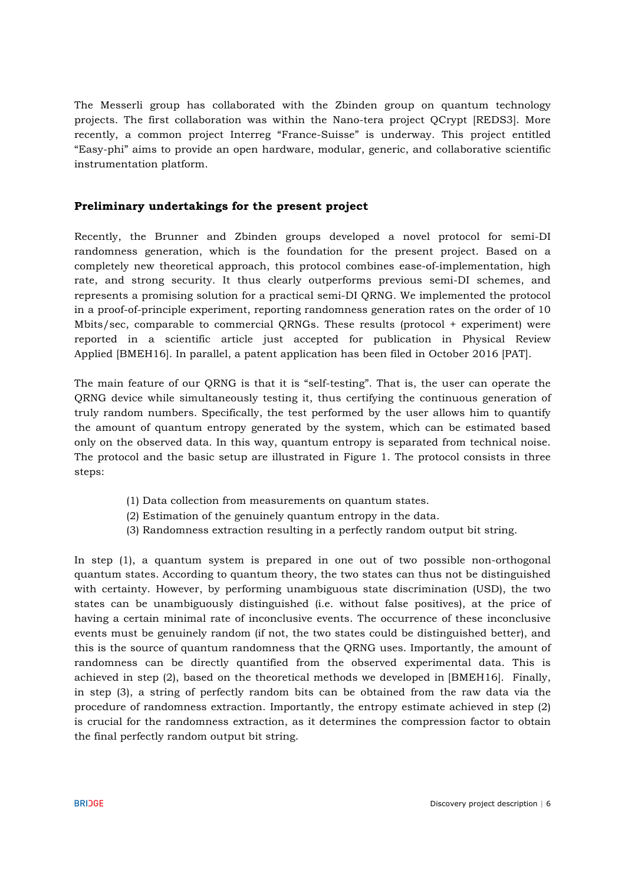The Messerli group has collaborated with the Zbinden group on quantum technology projects. The first collaboration was within the Nano-tera project QCrypt [REDS3]. More recently, a common project Interreg "France-Suisse" is underway. This project entitled "Easy-phi" aims to provide an open hardware, modular, generic, and collaborative scientific instrumentation platform.

## **Preliminary undertakings for the present project**

Recently, the Brunner and Zbinden groups developed a novel protocol for semi-DI randomness generation, which is the foundation for the present project. Based on a completely new theoretical approach, this protocol combines ease-of-implementation, high rate, and strong security. It thus clearly outperforms previous semi-DI schemes, and represents a promising solution for a practical semi-DI QRNG. We implemented the protocol in a proof-of-principle experiment, reporting randomness generation rates on the order of 10 Mbits/sec, comparable to commercial QRNGs. These results (protocol + experiment) were reported in a scientific article just accepted for publication in Physical Review Applied [BMEH16]. In parallel, a patent application has been filed in October 2016 [PAT].

The main feature of our QRNG is that it is "self-testing". That is, the user can operate the QRNG device while simultaneously testing it, thus certifying the continuous generation of truly random numbers. Specifically, the test performed by the user allows him to quantify the amount of quantum entropy generated by the system, which can be estimated based only on the observed data. In this way, quantum entropy is separated from technical noise. The protocol and the basic setup are illustrated in Figure 1. The protocol consists in three steps:

- (1) Data collection from measurements on quantum states.
- (2) Estimation of the genuinely quantum entropy in the data.
- (3) Randomness extraction resulting in a perfectly random output bit string.

In step (1), a quantum system is prepared in one out of two possible non-orthogonal quantum states. According to quantum theory, the two states can thus not be distinguished with certainty. However, by performing unambiguous state discrimination (USD), the two states can be unambiguously distinguished (i.e. without false positives), at the price of having a certain minimal rate of inconclusive events. The occurrence of these inconclusive events must be genuinely random (if not, the two states could be distinguished better), and this is the source of quantum randomness that the QRNG uses. Importantly, the amount of randomness can be directly quantified from the observed experimental data. This is achieved in step (2), based on the theoretical methods we developed in [BMEH16]. Finally, in step (3), a string of perfectly random bits can be obtained from the raw data via the procedure of randomness extraction. Importantly, the entropy estimate achieved in step (2) is crucial for the randomness extraction, as it determines the compression factor to obtain the final perfectly random output bit string.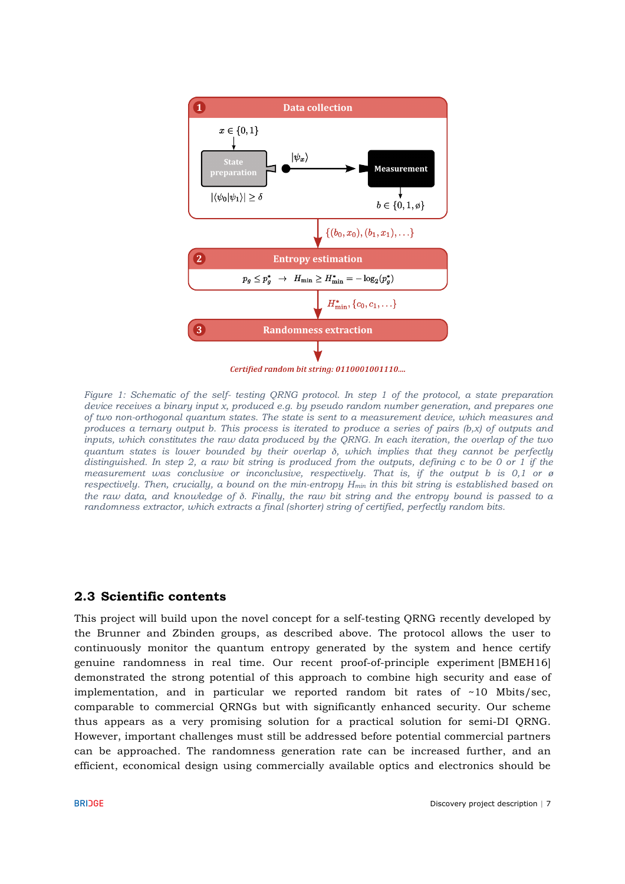

Certified random bit string: 0110001001110....

*Figure 1: Schematic of the self- testing QRNG protocol. In step 1 of the protocol, a state preparation device receives a binary input x, produced e.g. by pseudo random number generation, and prepares one of two non-orthogonal quantum states. The state is sent to a measurement device, which measures and produces a ternary output b. This process is iterated to produce a series of pairs (b,x) of outputs and inputs, which constitutes the raw data produced by the QRNG. In each iteration, the overlap of the two quantum states is lower bounded by their overlap* δ*, which implies that they cannot be perfectly distinguished. In step 2, a raw bit string is produced from the outputs, defining c to be 0 or 1 if the measurement was conclusive or inconclusive, respectively. That is, if the output b is 0,1 or ø respectively. Then, crucially, a bound on the min-entropy Hmin in this bit string is established based on the raw data, and knowledge of* δ*. Finally, the raw bit string and the entropy bound is passed to a randomness extractor, which extracts a final (shorter) string of certified, perfectly random bits.*

## **2.3 Scientific contents**

This project will build upon the novel concept for a self-testing QRNG recently developed by the Brunner and Zbinden groups, as described above. The protocol allows the user to continuously monitor the quantum entropy generated by the system and hence certify genuine randomness in real time. Our recent proof-of-principle experiment [BMEH16] demonstrated the strong potential of this approach to combine high security and ease of implementation, and in particular we reported random bit rates of  $\sim$ 10 Mbits/sec, comparable to commercial QRNGs but with significantly enhanced security. Our scheme thus appears as a very promising solution for a practical solution for semi-DI QRNG. However, important challenges must still be addressed before potential commercial partners can be approached. The randomness generation rate can be increased further, and an efficient, economical design using commercially available optics and electronics should be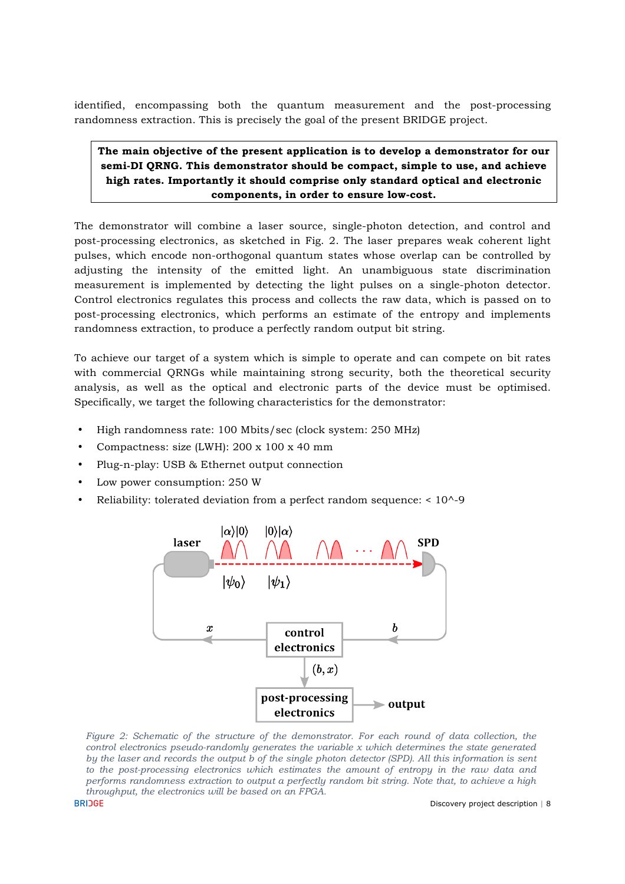identified, encompassing both the quantum measurement and the post-processing randomness extraction. This is precisely the goal of the present BRIDGE project.

## **The main objective of the present application is to develop a demonstrator for our semi-DI QRNG. This demonstrator should be compact, simple to use, and achieve high rates. Importantly it should comprise only standard optical and electronic components, in order to ensure low-cost.**

The demonstrator will combine a laser source, single-photon detection, and control and post-processing electronics, as sketched in Fig. 2. The laser prepares weak coherent light pulses, which encode non-orthogonal quantum states whose overlap can be controlled by adjusting the intensity of the emitted light. An unambiguous state discrimination measurement is implemented by detecting the light pulses on a single-photon detector. Control electronics regulates this process and collects the raw data, which is passed on to post-processing electronics, which performs an estimate of the entropy and implements randomness extraction, to produce a perfectly random output bit string.

To achieve our target of a system which is simple to operate and can compete on bit rates with commercial QRNGs while maintaining strong security, both the theoretical security analysis, as well as the optical and electronic parts of the device must be optimised. Specifically, we target the following characteristics for the demonstrator:

- High randomness rate: 100 Mbits/sec (clock system: 250 MHz)
- Compactness: size (LWH): 200 x 100 x 40 mm
- Plug-n-play: USB & Ethernet output connection
- Low power consumption: 250 W
- Reliability: tolerated deviation from a perfect random sequence: < 10^-9



*Figure 2: Schematic of the structure of the demonstrator. For each round of data collection, the control electronics pseudo-randomly generates the variable x which determines the state generated by the laser and records the output b of the single photon detector (SPD). All this information is sent to the post-processing electronics which estimates the amount of entropy in the raw data and performs randomness extraction to output a perfectly random bit string. Note that, to achieve a high throughput, the electronics will be based on an FPGA.*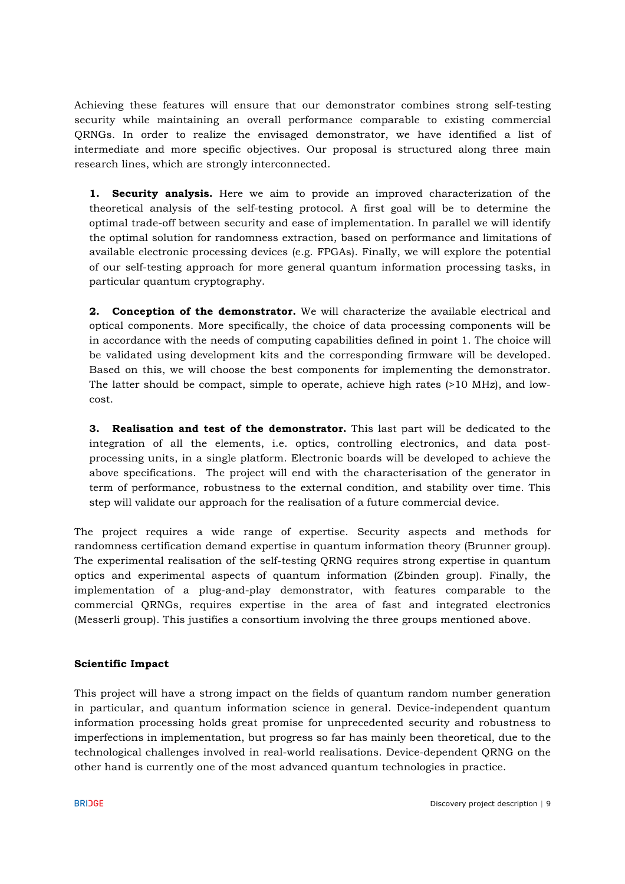Achieving these features will ensure that our demonstrator combines strong self-testing security while maintaining an overall performance comparable to existing commercial QRNGs. In order to realize the envisaged demonstrator, we have identified a list of intermediate and more specific objectives. Our proposal is structured along three main research lines, which are strongly interconnected.

**1. Security analysis.** Here we aim to provide an improved characterization of the theoretical analysis of the self-testing protocol. A first goal will be to determine the optimal trade-off between security and ease of implementation. In parallel we will identify the optimal solution for randomness extraction, based on performance and limitations of available electronic processing devices (e.g. FPGAs). Finally, we will explore the potential of our self-testing approach for more general quantum information processing tasks, in particular quantum cryptography.

**2. Conception of the demonstrator.** We will characterize the available electrical and optical components. More specifically, the choice of data processing components will be in accordance with the needs of computing capabilities defined in point 1. The choice will be validated using development kits and the corresponding firmware will be developed. Based on this, we will choose the best components for implementing the demonstrator. The latter should be compact, simple to operate, achieve high rates (>10 MHz), and lowcost.

**3. Realisation and test of the demonstrator.** This last part will be dedicated to the integration of all the elements, i.e. optics, controlling electronics, and data postprocessing units, in a single platform. Electronic boards will be developed to achieve the above specifications. The project will end with the characterisation of the generator in term of performance, robustness to the external condition, and stability over time. This step will validate our approach for the realisation of a future commercial device.

The project requires a wide range of expertise. Security aspects and methods for randomness certification demand expertise in quantum information theory (Brunner group). The experimental realisation of the self-testing QRNG requires strong expertise in quantum optics and experimental aspects of quantum information (Zbinden group). Finally, the implementation of a plug-and-play demonstrator, with features comparable to the commercial QRNGs, requires expertise in the area of fast and integrated electronics (Messerli group). This justifies a consortium involving the three groups mentioned above.

## **Scientific Impact**

This project will have a strong impact on the fields of quantum random number generation in particular, and quantum information science in general. Device-independent quantum information processing holds great promise for unprecedented security and robustness to imperfections in implementation, but progress so far has mainly been theoretical, due to the technological challenges involved in real-world realisations. Device-dependent QRNG on the other hand is currently one of the most advanced quantum technologies in practice.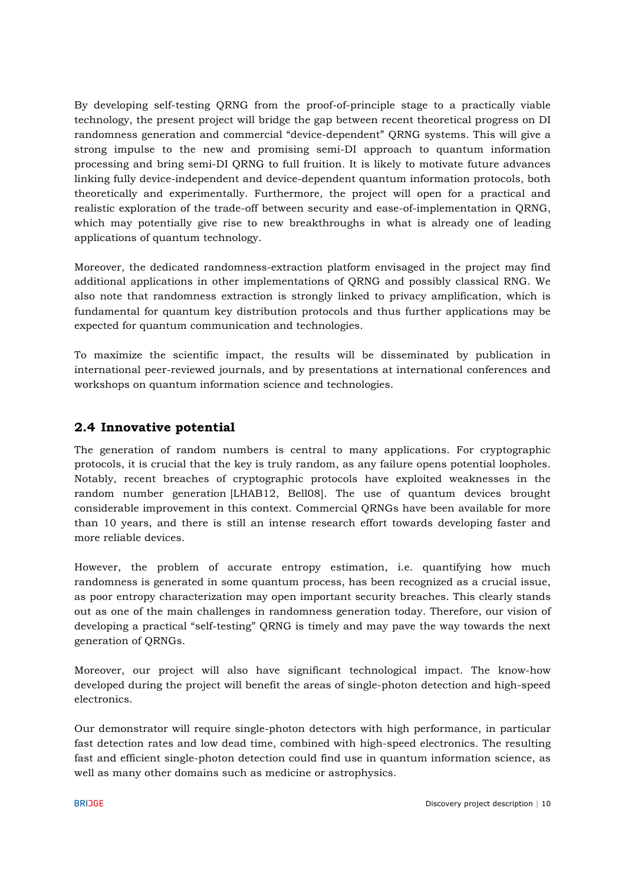By developing self-testing QRNG from the proof-of-principle stage to a practically viable technology, the present project will bridge the gap between recent theoretical progress on DI randomness generation and commercial "device-dependent" QRNG systems. This will give a strong impulse to the new and promising semi-DI approach to quantum information processing and bring semi-DI QRNG to full fruition. It is likely to motivate future advances linking fully device-independent and device-dependent quantum information protocols, both theoretically and experimentally. Furthermore, the project will open for a practical and realistic exploration of the trade-off between security and ease-of-implementation in QRNG, which may potentially give rise to new breakthroughs in what is already one of leading applications of quantum technology.

Moreover, the dedicated randomness-extraction platform envisaged in the project may find additional applications in other implementations of QRNG and possibly classical RNG. We also note that randomness extraction is strongly linked to privacy amplification, which is fundamental for quantum key distribution protocols and thus further applications may be expected for quantum communication and technologies.

To maximize the scientific impact, the results will be disseminated by publication in international peer-reviewed journals, and by presentations at international conferences and workshops on quantum information science and technologies.

# **2.4 Innovative potential**

The generation of random numbers is central to many applications. For cryptographic protocols, it is crucial that the key is truly random, as any failure opens potential loopholes. Notably, recent breaches of cryptographic protocols have exploited weaknesses in the random number generation [LHAB12, Bell08]. The use of quantum devices brought considerable improvement in this context. Commercial QRNGs have been available for more than 10 years, and there is still an intense research effort towards developing faster and more reliable devices.

However, the problem of accurate entropy estimation, i.e. quantifying how much randomness is generated in some quantum process, has been recognized as a crucial issue, as poor entropy characterization may open important security breaches. This clearly stands out as one of the main challenges in randomness generation today. Therefore, our vision of developing a practical "self-testing" QRNG is timely and may pave the way towards the next generation of QRNGs.

Moreover, our project will also have significant technological impact. The know-how developed during the project will benefit the areas of single-photon detection and high-speed electronics.

Our demonstrator will require single-photon detectors with high performance, in particular fast detection rates and low dead time, combined with high-speed electronics. The resulting fast and efficient single-photon detection could find use in quantum information science, as well as many other domains such as medicine or astrophysics.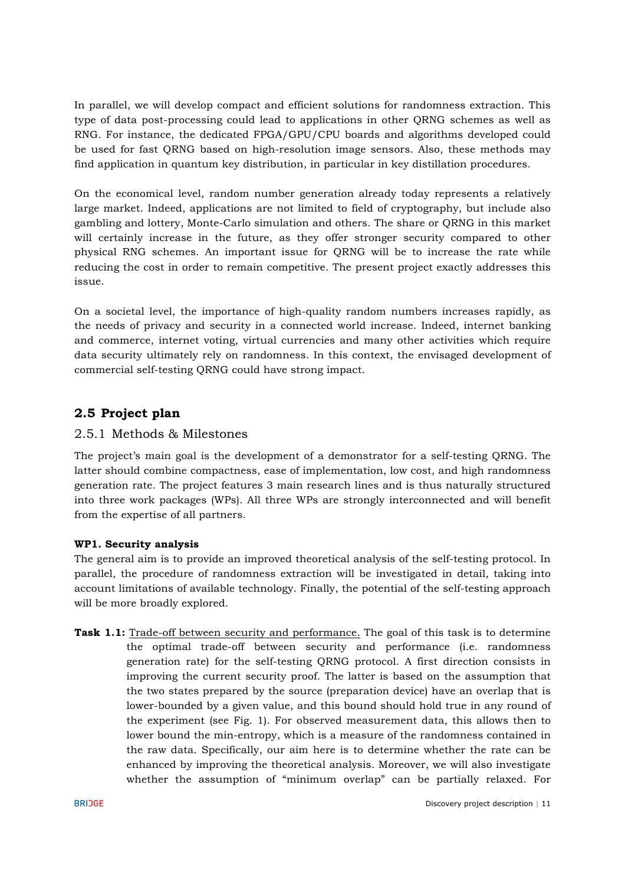In parallel, we will develop compact and efficient solutions for randomness extraction. This type of data post-processing could lead to applications in other QRNG schemes as well as RNG. For instance, the dedicated FPGA/GPU/CPU boards and algorithms developed could be used for fast QRNG based on high-resolution image sensors. Also, these methods may find application in quantum key distribution, in particular in key distillation procedures.

On the economical level, random number generation already today represents a relatively large market. Indeed, applications are not limited to field of cryptography, but include also gambling and lottery, Monte-Carlo simulation and others. The share or QRNG in this market will certainly increase in the future, as they offer stronger security compared to other physical RNG schemes. An important issue for QRNG will be to increase the rate while reducing the cost in order to remain competitive. The present project exactly addresses this issue.

On a societal level, the importance of high-quality random numbers increases rapidly, as the needs of privacy and security in a connected world increase. Indeed, internet banking and commerce, internet voting, virtual currencies and many other activities which require data security ultimately rely on randomness. In this context, the envisaged development of commercial self-testing QRNG could have strong impact.

# **2.5 Project plan**

## 2.5.1 Methods & Milestones

The project's main goal is the development of a demonstrator for a self-testing QRNG. The latter should combine compactness, ease of implementation, low cost, and high randomness generation rate. The project features 3 main research lines and is thus naturally structured into three work packages (WPs). All three WPs are strongly interconnected and will benefit from the expertise of all partners.

## **WP1. Security analysis**

The general aim is to provide an improved theoretical analysis of the self-testing protocol. In parallel, the procedure of randomness extraction will be investigated in detail, taking into account limitations of available technology. Finally, the potential of the self-testing approach will be more broadly explored.

**Task 1.1:** Trade-off between security and performance. The goal of this task is to determine the optimal trade-off between security and performance (i.e. randomness generation rate) for the self-testing QRNG protocol. A first direction consists in improving the current security proof. The latter is based on the assumption that the two states prepared by the source (preparation device) have an overlap that is lower-bounded by a given value, and this bound should hold true in any round of the experiment (see Fig. 1). For observed measurement data, this allows then to lower bound the min-entropy, which is a measure of the randomness contained in the raw data. Specifically, our aim here is to determine whether the rate can be enhanced by improving the theoretical analysis. Moreover, we will also investigate whether the assumption of "minimum overlap" can be partially relaxed. For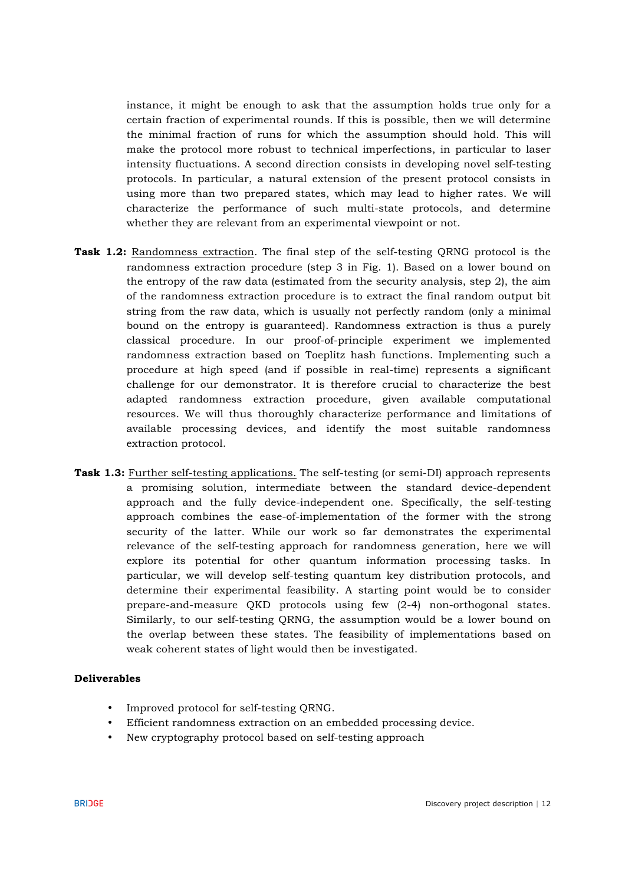instance, it might be enough to ask that the assumption holds true only for a certain fraction of experimental rounds. If this is possible, then we will determine the minimal fraction of runs for which the assumption should hold. This will make the protocol more robust to technical imperfections, in particular to laser intensity fluctuations. A second direction consists in developing novel self-testing protocols. In particular, a natural extension of the present protocol consists in using more than two prepared states, which may lead to higher rates. We will characterize the performance of such multi-state protocols, and determine whether they are relevant from an experimental viewpoint or not.

- **Task 1.2:** Randomness extraction. The final step of the self-testing QRNG protocol is the randomness extraction procedure (step 3 in Fig. 1). Based on a lower bound on the entropy of the raw data (estimated from the security analysis, step 2), the aim of the randomness extraction procedure is to extract the final random output bit string from the raw data, which is usually not perfectly random (only a minimal bound on the entropy is guaranteed). Randomness extraction is thus a purely classical procedure. In our proof-of-principle experiment we implemented randomness extraction based on Toeplitz hash functions. Implementing such a procedure at high speed (and if possible in real-time) represents a significant challenge for our demonstrator. It is therefore crucial to characterize the best adapted randomness extraction procedure, given available computational resources. We will thus thoroughly characterize performance and limitations of available processing devices, and identify the most suitable randomness extraction protocol.
- **Task 1.3:** Further self-testing applications. The self-testing (or semi-DI) approach represents a promising solution, intermediate between the standard device-dependent approach and the fully device-independent one. Specifically, the self-testing approach combines the ease-of-implementation of the former with the strong security of the latter. While our work so far demonstrates the experimental relevance of the self-testing approach for randomness generation, here we will explore its potential for other quantum information processing tasks. In particular, we will develop self-testing quantum key distribution protocols, and determine their experimental feasibility. A starting point would be to consider prepare-and-measure QKD protocols using few (2-4) non-orthogonal states. Similarly, to our self-testing QRNG, the assumption would be a lower bound on the overlap between these states. The feasibility of implementations based on weak coherent states of light would then be investigated.

#### **Deliverables**

- Improved protocol for self-testing QRNG.
- Efficient randomness extraction on an embedded processing device.
- New cryptography protocol based on self-testing approach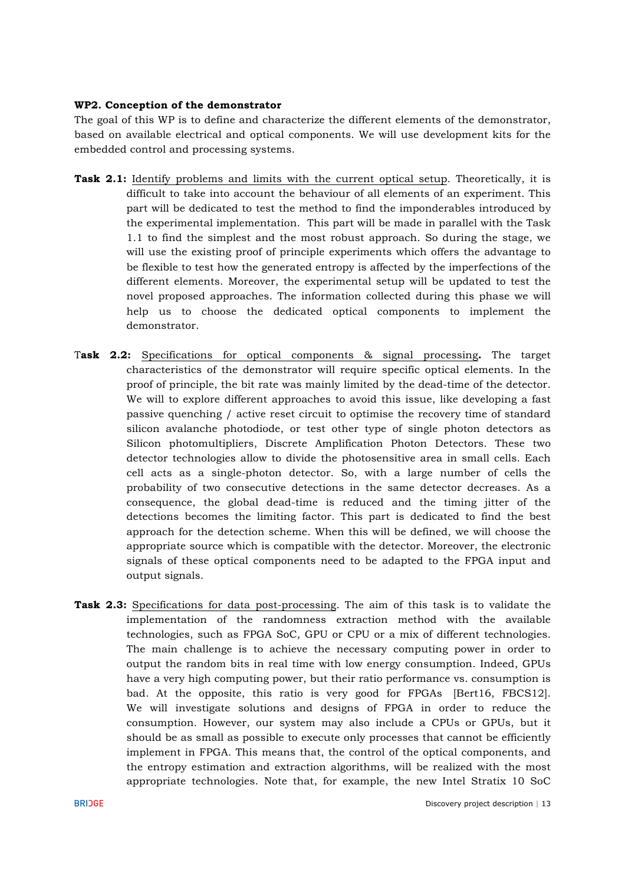#### **WP2. Conception of the demonstrator**

The goal of this WP is to define and characterize the different elements of the demonstrator, based on available electrical and optical components. We will use development kits for the embedded control and processing systems.

- **Task 2.1:** Identify problems and limits with the current optical setup. Theoretically, it is difficult to take into account the behaviour of all elements of an experiment. This part will be dedicated to test the method to find the imponderables introduced by the experimental implementation. This part will be made in parallel with the Task 1.1 to find the simplest and the most robust approach. So during the stage, we will use the existing proof of principle experiments which offers the advantage to be flexible to test how the generated entropy is affected by the imperfections of the different elements. Moreover, the experimental setup will be updated to test the novel proposed approaches. The information collected during this phase we will help us to choose the dedicated optical components to implement the demonstrator.
- T**ask 2.2:** Specifications for optical components & signal processing**.** The target characteristics of the demonstrator will require specific optical elements. In the proof of principle, the bit rate was mainly limited by the dead-time of the detector. We will to explore different approaches to avoid this issue, like developing a fast passive quenching / active reset circuit to optimise the recovery time of standard silicon avalanche photodiode, or test other type of single photon detectors as Silicon photomultipliers, Discrete Amplification Photon Detectors. These two detector technologies allow to divide the photosensitive area in small cells. Each cell acts as a single-photon detector. So, with a large number of cells the probability of two consecutive detections in the same detector decreases. As a consequence, the global dead-time is reduced and the timing jitter of the detections becomes the limiting factor. This part is dedicated to find the best approach for the detection scheme. When this will be defined, we will choose the appropriate source which is compatible with the detector. Moreover, the electronic signals of these optical components need to be adapted to the FPGA input and output signals.
- **Task 2.3:** Specifications for data post-processing. The aim of this task is to validate the implementation of the randomness extraction method with the available technologies, such as FPGA SoC, GPU or CPU or a mix of different technologies. The main challenge is to achieve the necessary computing power in order to output the random bits in real time with low energy consumption. Indeed, GPUs have a very high computing power, but their ratio performance vs. consumption is bad. At the opposite, this ratio is very good for FPGAs [Bert16, FBCS12]. We will investigate solutions and designs of FPGA in order to reduce the consumption. However, our system may also include a CPUs or GPUs, but it should be as small as possible to execute only processes that cannot be efficiently implement in FPGA. This means that, the control of the optical components, and the entropy estimation and extraction algorithms, will be realized with the most appropriate technologies. Note that, for example, the new Intel Stratix 10 SoC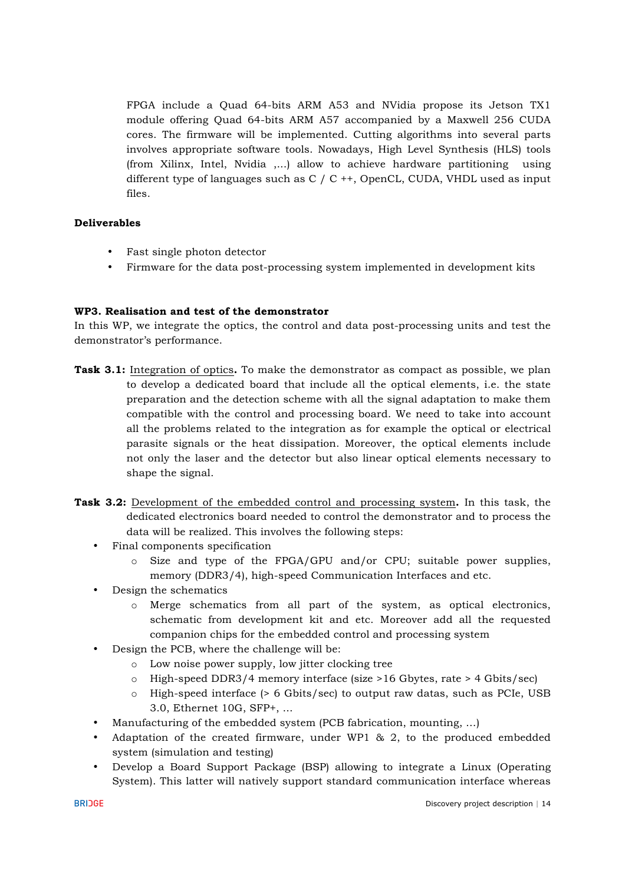FPGA include a Quad 64-bits ARM A53 and NVidia propose its Jetson TX1 module offering Quad 64-bits ARM A57 accompanied by a Maxwell 256 CUDA cores. The firmware will be implemented. Cutting algorithms into several parts involves appropriate software tools. Nowadays, High Level Synthesis (HLS) tools (from Xilinx, Intel, Nvidia ,...) allow to achieve hardware partitioning using different type of languages such as  $C / C$  ++, OpenCL, CUDA, VHDL used as input files.

#### **Deliverables**

- Fast single photon detector
- Firmware for the data post-processing system implemented in development kits

## **WP3. Realisation and test of the demonstrator**

In this WP, we integrate the optics, the control and data post-processing units and test the demonstrator's performance.

- **Task 3.1:** Integration of optics**.** To make the demonstrator as compact as possible, we plan to develop a dedicated board that include all the optical elements, i.e. the state preparation and the detection scheme with all the signal adaptation to make them compatible with the control and processing board. We need to take into account all the problems related to the integration as for example the optical or electrical parasite signals or the heat dissipation. Moreover, the optical elements include not only the laser and the detector but also linear optical elements necessary to shape the signal.
- **Task 3.2:** Development of the embedded control and processing system**.** In this task, the dedicated electronics board needed to control the demonstrator and to process the data will be realized. This involves the following steps:
	- Final components specification
		- o Size and type of the FPGA/GPU and/or CPU; suitable power supplies, memory (DDR3/4), high-speed Communication Interfaces and etc.
	- Design the schematics
		- o Merge schematics from all part of the system, as optical electronics, schematic from development kit and etc. Moreover add all the requested companion chips for the embedded control and processing system
	- Design the PCB, where the challenge will be:
		- o Low noise power supply, low jitter clocking tree
		- $\circ$  High-speed DDR3/4 memory interface (size >16 Gbytes, rate > 4 Gbits/sec)
		- o High-speed interface (> 6 Gbits/sec) to output raw datas, such as PCIe, USB 3.0, Ethernet 10G, SFP+, ...
	- Manufacturing of the embedded system (PCB fabrication, mounting, …)
	- Adaptation of the created firmware, under WP1 & 2, to the produced embedded system (simulation and testing)
	- Develop a Board Support Package (BSP) allowing to integrate a Linux (Operating System). This latter will natively support standard communication interface whereas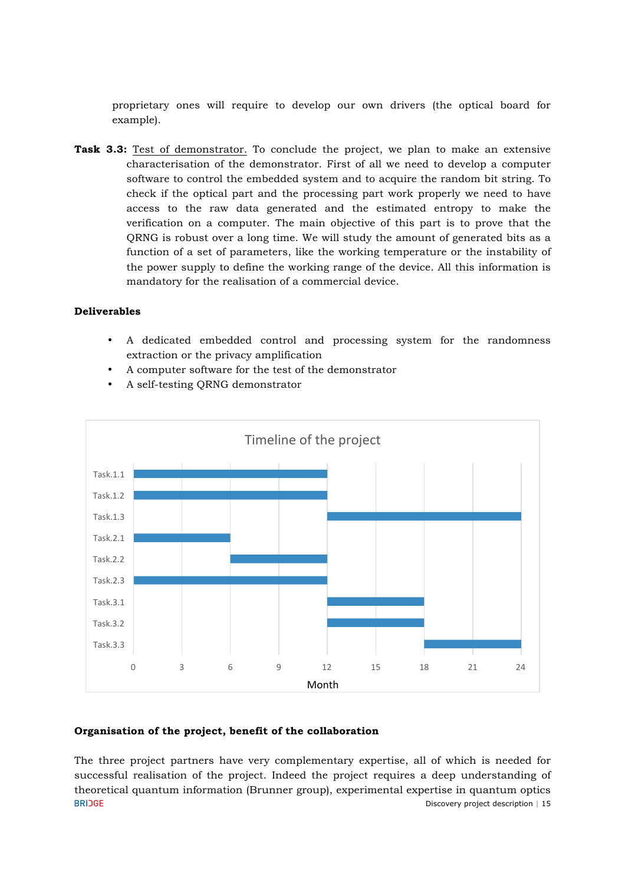proprietary ones will require to develop our own drivers (the optical board for example).

**Task 3.3:** Test of demonstrator. To conclude the project, we plan to make an extensive characterisation of the demonstrator. First of all we need to develop a computer software to control the embedded system and to acquire the random bit string. To check if the optical part and the processing part work properly we need to have access to the raw data generated and the estimated entropy to make the verification on a computer. The main objective of this part is to prove that the QRNG is robust over a long time. We will study the amount of generated bits as a function of a set of parameters, like the working temperature or the instability of the power supply to define the working range of the device. All this information is mandatory for the realisation of a commercial device.

#### **Deliverables**

- A dedicated embedded control and processing system for the randomness extraction or the privacy amplification
- A computer software for the test of the demonstrator
- A self-testing QRNG demonstrator



#### **Organisation of the project, benefit of the collaboration**

The three project partners have very complementary expertise, all of which is needed for successful realisation of the project. Indeed the project requires a deep understanding of theoretical quantum information (Brunner group), experimental expertise in quantum optics **BRIDGE** Discovery project description | 15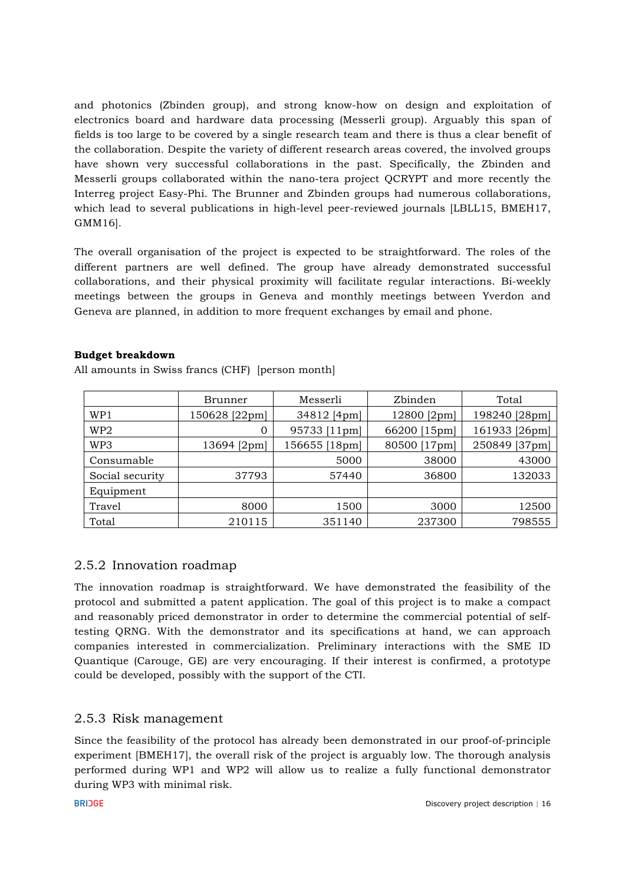and photonics (Zbinden group), and strong know-how on design and exploitation of electronics board and hardware data processing (Messerli group). Arguably this span of fields is too large to be covered by a single research team and there is thus a clear benefit of the collaboration. Despite the variety of different research areas covered, the involved groups have shown very successful collaborations in the past. Specifically, the Zbinden and Messerli groups collaborated within the nano-tera project QCRYPT and more recently the Interreg project Easy-Phi. The Brunner and Zbinden groups had numerous collaborations, which lead to several publications in high-level peer-reviewed journals [LBLL15, BMEH17, GMM16].

The overall organisation of the project is expected to be straightforward. The roles of the different partners are well defined. The group have already demonstrated successful collaborations, and their physical proximity will facilitate regular interactions. Bi-weekly meetings between the groups in Geneva and monthly meetings between Yverdon and Geneva are planned, in addition to more frequent exchanges by email and phone.

## **Budget breakdown**

|                 | Brunner       | Messerli      | Zbinden      | Total         |
|-----------------|---------------|---------------|--------------|---------------|
| WP1             | 150628 [22pm] | 34812 [4pm]   | 12800 [2pm]  | 198240 [28pm] |
| WP <sub>2</sub> | 0             | 95733 [11pm]  | 66200 [15pm] | 161933 [26pm] |
| WP3             | 13694 [2pm]   | 156655 [18pm] | 80500 [17pm] | 250849 [37pm] |
| Consumable      |               | 5000          | 38000        | 43000         |
| Social security | 37793         | 57440         | 36800        | 132033        |
| Equipment       |               |               |              |               |
| Travel          | 8000          | 1500          | 3000         | 12500         |
| Total           | 210115        | 351140        | 237300       | 798555        |

All amounts in Swiss francs (CHF) [person month]

# 2.5.2 Innovation roadmap

The innovation roadmap is straightforward. We have demonstrated the feasibility of the protocol and submitted a patent application. The goal of this project is to make a compact and reasonably priced demonstrator in order to determine the commercial potential of selftesting QRNG. With the demonstrator and its specifications at hand, we can approach companies interested in commercialization. Preliminary interactions with the SME ID Quantique (Carouge, GE) are very encouraging. If their interest is confirmed, a prototype could be developed, possibly with the support of the CTI.

# 2.5.3 Risk management

Since the feasibility of the protocol has already been demonstrated in our proof-of-principle experiment [BMEH17], the overall risk of the project is arguably low. The thorough analysis performed during WP1 and WP2 will allow us to realize a fully functional demonstrator during WP3 with minimal risk.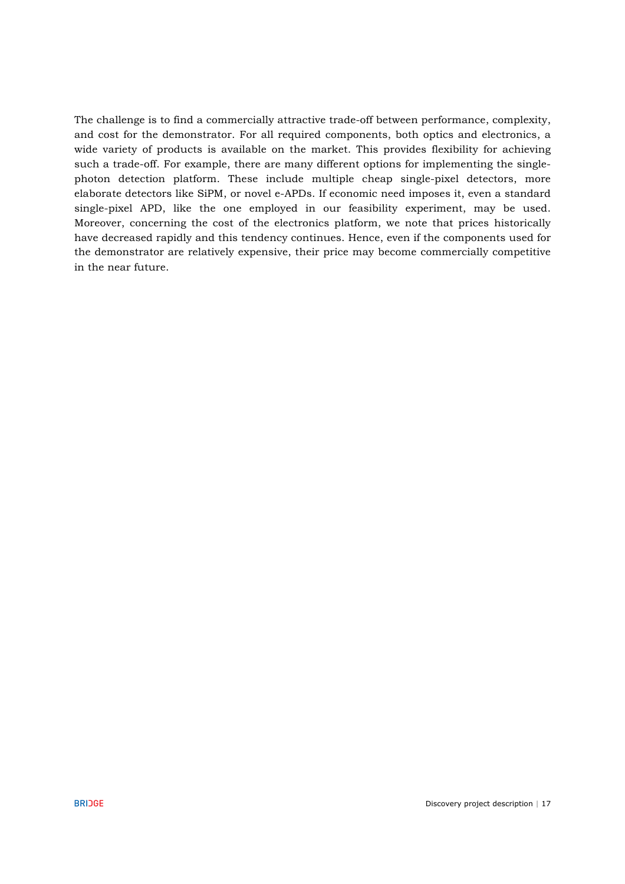The challenge is to find a commercially attractive trade-off between performance, complexity, and cost for the demonstrator. For all required components, both optics and electronics, a wide variety of products is available on the market. This provides flexibility for achieving such a trade-off. For example, there are many different options for implementing the singlephoton detection platform. These include multiple cheap single-pixel detectors, more elaborate detectors like SiPM, or novel e-APDs. If economic need imposes it, even a standard single-pixel APD, like the one employed in our feasibility experiment, may be used. Moreover, concerning the cost of the electronics platform, we note that prices historically have decreased rapidly and this tendency continues. Hence, even if the components used for the demonstrator are relatively expensive, their price may become commercially competitive in the near future.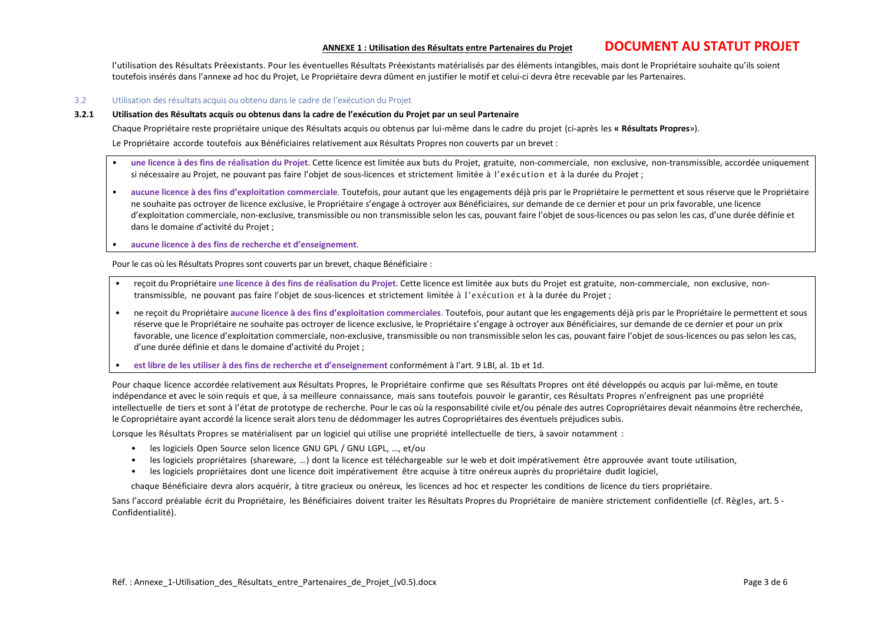#### **ANNEXE <sup>1</sup> : Utilisation des Résultats entre Partenaires du Projet DOCUMENT AU STATUT PROJET**

l'utilisation des Résultats Préexistants. Pour les éventuelles Résultats Préexistants matérialisés par des éléments intangibles, mais dont le Propriétaire souhaite qu'ils soient toutefois insérés dans l'annexe ad hoc du Projet, Le Propriétaire devra dûment en justifier le motif et celui-ci devra être recevable par les Partenaires.

#### 3.2 Utilisation des résultats acquis ou obtenu dans le cadre de l'exécution du Projet

#### **3.2.1 Utilisation des Résultats acquis ou obtenus dans la cadre de l'exécution du Projet par un seul Partenaire**

Chaque Propriétaire reste propriétaire unique des Résultats acquis ou obtenus par lui-même dans le cadre du projet (ci-après les **« Résultats Propres**»). Le Propriétaire accorde toutefois aux Bénéficiaires relativement aux Résultats Propres non couverts par un brevet :

- **une licence à des fins de réalisation du Projet**. Cette licence est limitée aux buts du Projet, gratuite, non-commerciale, non exclusive, non-transmissible, accordée uniquement si nécessaire au Projet, ne pouvant pas faire l'objet de sous-licences et strictement limitée à l'exécution et à la durée du Projet ;
- **aucune licence à des fins d'exploitation commerciale**. Toutefois, pour autant que les engagements déjà pris par le Propriétaire le permettent et sous réserve que le Propriétaire ne souhaite pas octroyer de licence exclusive, le Propriétaire s'engage à octroyer aux Bénéficiaires, sur demande de ce dernier et pour un prix favorable, une licence d'exploitation commerciale, non-exclusive, transmissible ou non transmissible selon les cas, pouvant faire l'objet de sous-licences ou pas selon les cas, d'une durée définie et dans le domaine d'activité du Projet ;
- **aucune licence à des fins de recherche et d'enseignement**.

Pour le cas où les Résultats Propres sont couverts par un brevet, chaque Bénéficiaire :

- reçoit du Propriétaire **une licence à des fins de réalisation du Projet**. Cette licence est limitée aux buts du Projet est gratuite, non-commerciale, non exclusive, nontransmissible, ne pouvant pas faire l'objet de sous-licences et strictement limitée à l'exécution et à la durée du Projet ;
- ne reçoit du Propriétaire **aucune licence à des fins d'exploitation commerciales**. Toutefois, pour autant que les engagements déjà pris par le Propriétaire le permettent et sous réserve que le Propriétaire ne souhaite pas octroyer de licence exclusive, le Propriétaire s'engage à octroyer aux Bénéficiaires, sur demande de ce dernier et pour un prix favorable, une licence d'exploitation commerciale, non-exclusive, transmissible ou non transmissible selon les cas, pouvant faire l'objet de sous-licences ou pas selon les cas, d'une durée définie et dans le domaine d'activité du Projet ;
- **est libre de les utiliser à des fins de recherche et d'enseignement** conformément à l'art. 9 LBI, al. 1b et 1d.

Pour chaque licence accordée relativement aux Résultats Propres, le Propriétaire confirme que ses Résultats Propres ont été développés ou acquis par lui-même, en toute indépendance et avec le soin requis et que, à sa meilleure connaissance, mais sans toutefois pouvoir le garantir, ces Résultats Propres n'enfreignent pas une propriété intellectuelle de tiers et sont à l'état de prototype de recherche. Pour le cas où la responsabilité civile et/ou pénale des autres Copropriétaires devait néanmoins être recherchée, le Copropriétaire ayant accordé la licence serait alors tenu de dédommager les autres Copropriétaires des éventuels préjudices subis.

Lorsque les Résultats Propres se matérialisent par un logiciel qui utilise une propriété intellectuelle de tiers, à savoir notamment :

- les logiciels Open Source selon licence GNU GPL / GNU LGPL, …, et/ou
- les logiciels propriétaires (shareware, …) dont la licence est téléchargeable sur le web et doit impérativement être approuvée avant toute utilisation,
- les logiciels propriétaires dont une licence doit impérativement être acquise à titre onéreux auprès du propriétaire dudit logiciel,

chaque Bénéficiaire devra alors acquérir, à titre gracieux ou onéreux, les licences ad hoc et respecter les conditions de licence du tiers propriétaire.

Sans l'accord préalable écrit du Propriétaire, les Bénéficiaires doivent traiter les Résultats Propres du Propriétaire de manière strictement confidentielle (cf. Règles, art. 5 -Confidentialité).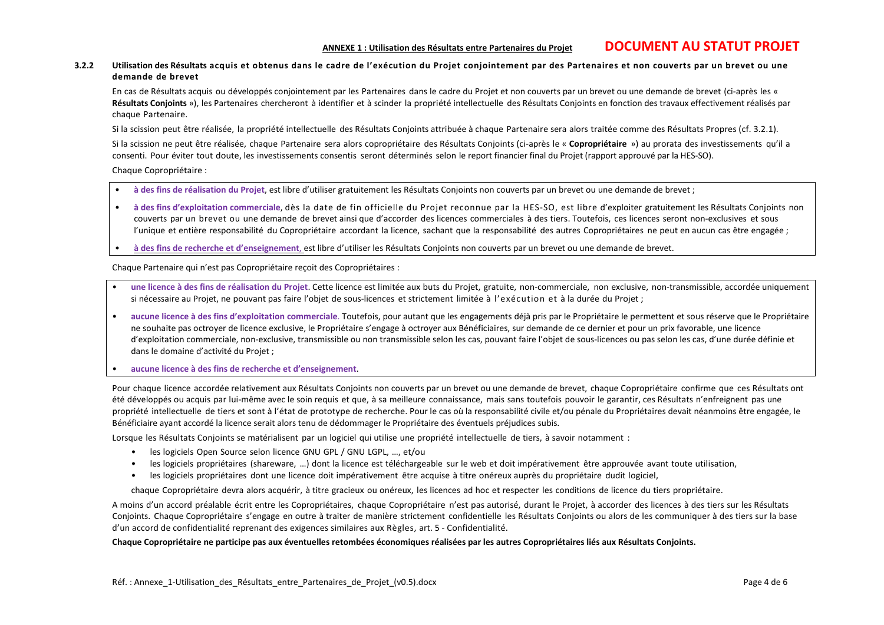#### **3.2.2 Utilisation des Résultats acquis et obtenus dans le cadre de l'exécution du Projet conjointement par des Partenaires et non couverts par un brevet ou une demande de brevet**

En cas de Résultats acquis ou développés conjointement par les Partenaires dans le cadre du Projet et non couverts par un brevet ou une demande de brevet (ci-après les « Résultats Conjoints »), les Partenaires chercheront à identifier et à scinder la propriété intellectuelle des Résultats Conjoints en fonction des travaux effectivement réalisés par chaque Partenaire.

Si la scission peut être réalisée, la propriété intellectuelle des Résultats Conjoints attribuée à chaque Partenaire sera alors traitée comme des Résultats Propres (cf. 3.2.1).

Si la scission ne peut être réalisée, chaque Partenaire sera alors copropriétaire des Résultats Conjoints (ci-après le « **Copropriétaire** ») au prorata des investissements qu'il a consenti. Pour éviter tout doute, les investissements consentis seront déterminés selon le report financier final du Projet (rapport approuvé par la HES-SO).

Chaque Copropriétaire :

- **à des fins de réalisation du Projet**, est libre d'utiliser gratuitement les Résultats Conjoints non couverts par un brevet ou une demande de brevet ;
- **à des fins d'exploitation commerciale**, dès la date de fin officielle du Projet reconnue par la HES-SO, est libre d'exploiter gratuitement les Résultats Conjoints non couverts par un brevet ou une demande de brevet ainsi que d'accorder des licences commerciales à des tiers. Toutefois, ces licences seront non-exclusives et sous l'unique et entière responsabilité du Copropriétaire accordant la licence, sachant que la responsabilité des autres Copropriétaires ne peut en aucun cas être engagée ;
- **à des fins de recherche et d'enseignement**, est libre d'utiliser les Résultats Conjoints non couverts par un brevet ou une demande de brevet.

Chaque Partenaire qui n'est pas Copropriétaire reçoit des Copropriétaires :

- **une licence à des fins de réalisation du Projet**. Cette licence est limitée aux buts du Projet, gratuite, non-commerciale, non exclusive, non-transmissible, accordée uniquement si nécessaire au Projet, ne pouvant pas faire l'objet de sous-licences et strictement limitée à l'exécution et à la durée du Projet ;
- **aucune licence à des fins d'exploitation commerciale**. Toutefois, pour autant que les engagements déjà pris par le Propriétaire le permettent et sous réserve que le Propriétaire ne souhaite pas octroyer de licence exclusive, le Propriétaire s'engage à octroyer aux Bénéficiaires, sur demande de ce dernier et pour un prix favorable, une licence d'exploitation commerciale, non-exclusive, transmissible ou non transmissible selon les cas, pouvant faire l'objet de sous-licences ou pas selon les cas, d'une durée définie et dans le domaine d'activité du Projet ;

• **aucune licence à des fins de recherche et d'enseignement**.

Pour chaque licence accordée relativement aux Résultats Conjoints non couverts par un brevet ou une demande de brevet, chaque Copropriétaire confirme que ces Résultats ont été développés ou acquis par lui-même avec le soin requis et que, à sa meilleure connaissance, mais sans toutefois pouvoir le garantir, ces Résultats n'enfreignent pas une propriété intellectuelle de tiers et sont à l'état de prototype de recherche. Pour le cas où la responsabilité civile et/ou pénale du Propriétaires devait néanmoins être engagée, le Bénéficiaire ayant accordé la licence serait alors tenu de dédommager le Propriétaire des éventuels préjudices subis.

Lorsque les Résultats Conjoints se matérialisent par un logiciel qui utilise une propriété intellectuelle de tiers, à savoir notamment :

- les logiciels Open Source selon licence GNU GPL / GNU LGPL, ..., et/ou
- les logiciels propriétaires (shareware, …) dont la licence est téléchargeable sur le web et doit impérativement être approuvée avant toute utilisation,
- les logiciels propriétaires dont une licence doit impérativement être acquise à titre onéreux auprès du propriétaire dudit logiciel,

chaque Copropriétaire devra alors acquérir, à titre gracieux ou onéreux, les licences ad hoc et respecter les conditions de licence du tiers propriétaire.

A moins d'un accord préalable écrit entre les Copropriétaires, chaque Copropriétaire n'est pas autorisé, durant le Projet, à accorder des licences à des tiers sur les Résultats Conjoints. Chaque Copropriétaire s'engage en outre à traiter de manière strictement confidentielle les Résultats Conjoints ou alors de les communiquer à des tiers sur la base d'un accord de confidentialité reprenant des exigences similaires aux Règles, art. 5 - Confidentialité.

#### **Chaque Copropriétaire ne participe pas aux éventuelles retombées économiques réalisées par les autres Copropriétaires liés aux Résultats Conjoints.**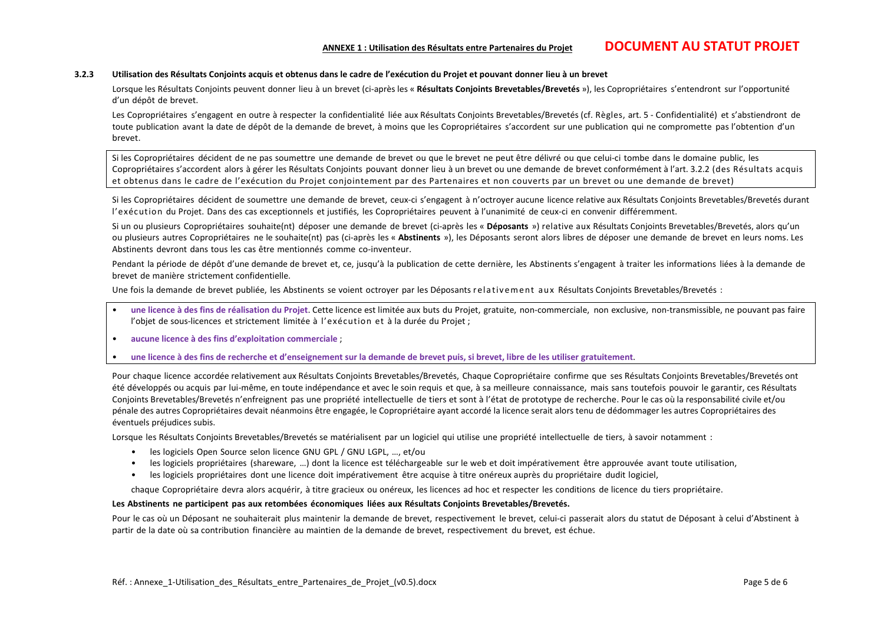# **ANNEXE <sup>1</sup> : Utilisation des Résultats entre Partenaires du Projet DOCUMENT AU STATUT PROJET**

#### **3.2.3 Utilisation des Résultats Conjoints acquis et obtenus dans le cadre de l'exécution du Projet et pouvant donner lieu à un brevet**

Lorsque les Résultats Conjoints peuvent donner lieu à un brevet (ci-après les « **Résultats Conjoints Brevetables/Brevetés** »), les Copropriétaires s'entendront sur l'opportunité d'un dépôt de brevet.

Les Copropriétaires s'engagent en outre à respecter la confidentialité liée aux Résultats Conjoints Brevetables/Brevetés (cf. Règles, art. 5 - Confidentialité) et s'abstiendront de toute publication avant la date de dépôt de la demande de brevet, à moins que les Copropriétaires s'accordent sur une publication qui ne compromette pas l'obtention d'un brevet.

Si les Copropriétaires décident de ne pas soumettre une demande de brevet ou que le brevet ne peut être délivré ou que celui-ci tombe dans le domaine public, les Copropriétaires s'accordent alors à gérer les Résultats Conjoints pouvant donner lieu à un brevet ou une demande de brevet conformément à l'art. 3.2.2 (des Résultats acquis et obtenus dans le cadre de l'exécution du Projet conjointement par des Partenaires et non couverts par un brevet ou une demande de brevet)

Si les Copropriétaires décident de soumettre une demande de brevet, ceux-ci s'engagent à n'octroyer aucune licence relative aux Résultats Conjoints Brevetables/Brevetés durant l'exécution du Projet. Dans des cas exceptionnels et justifiés, les Copropriétaires peuvent à l'unanimité de ceux-ci en convenir différemment.

Si un ou plusieurs Copropriétaires souhaite(nt) déposer une demande de brevet (ci-après les « **Déposants** ») relative aux Résultats Conjoints Brevetables/Brevetés, alors qu'un ou plusieurs autres Copropriétaires ne le souhaite(nt) pas (ci-après les « **Abstinents** »), les Déposants seront alors libres de déposer une demande de brevet en leurs noms. Les Abstinents devront dans tous les cas être mentionnés comme co-inventeur.

Pendant la période de dépôt d'une demande de brevet et, ce, jusqu'à la publication de cette dernière, les Abstinents s'engagent à traiter les informations liées à la demande de brevet de manière strictement confidentielle.

Une fois la demande de brevet publiée, les Abstinents se voient octroyer par les Déposants relativement aux Résultats Conjoints Brevetables/Brevetés :

- **une licence à des fins de réalisation du Projet**. Cette licence est limitée aux buts du Projet, gratuite, non-commerciale, non exclusive, non-transmissible, ne pouvant pas faire l'objet de sous-licences et strictement limitée à l'exécution et à la durée du Projet ;
- **aucune licence à des fins d'exploitation commerciale** ;
- **une licence à des fins de recherche et d'enseignement sur la demande de brevet puis, si brevet, libre de les utiliser gratuitement**.

Pour chaque licence accordée relativement aux Résultats Conjoints Brevetables/Brevetés, Chaque Copropriétaire confirme que ses Résultats Conjoints Brevetables/Brevetés ont été développés ou acquis par lui-même, en toute indépendance et avec le soin requis et que, à sa meilleure connaissance, mais sans toutefois pouvoir le garantir, ces Résultats Conjoints Brevetables/Brevetés n'enfreignent pas une propriété intellectuelle de tiers et sont à l'état de prototype de recherche. Pour le cas où la responsabilité civile et/ou pénale des autres Copropriétaires devait néanmoins être engagée, le Copropriétaire ayant accordé la licence serait alors tenu de dédommager les autres Copropriétaires des éventuels préjudices subis.

Lorsque les Résultats Conjoints Brevetables/Brevetés se matérialisent par un logiciel qui utilise une propriété intellectuelle de tiers, à savoir notamment :

- les logiciels Open Source selon licence GNU GPL / GNU LGPL, …, et/ou
- les logiciels propriétaires (shareware, …) dont la licence est téléchargeable sur le web et doit impérativement être approuvée avant toute utilisation,
- les logiciels propriétaires dont une licence doit impérativement être acquise à titre onéreux auprès du propriétaire dudit logiciel,

chaque Copropriétaire devra alors acquérir, à titre gracieux ou onéreux, les licences ad hoc et respecter les conditions de licence du tiers propriétaire.

#### **Les Abstinents ne participent pas aux retombées économiques liées aux Résultats Conjoints Brevetables/Brevetés.**

Pour le cas où un Déposant ne souhaiterait plus maintenir la demande de brevet, respectivement le brevet, celui-ci passerait alors du statut de Déposant à celui d'Abstinent à partir de la date où sa contribution financière au maintien de la demande de brevet, respectivement du brevet, est échue.